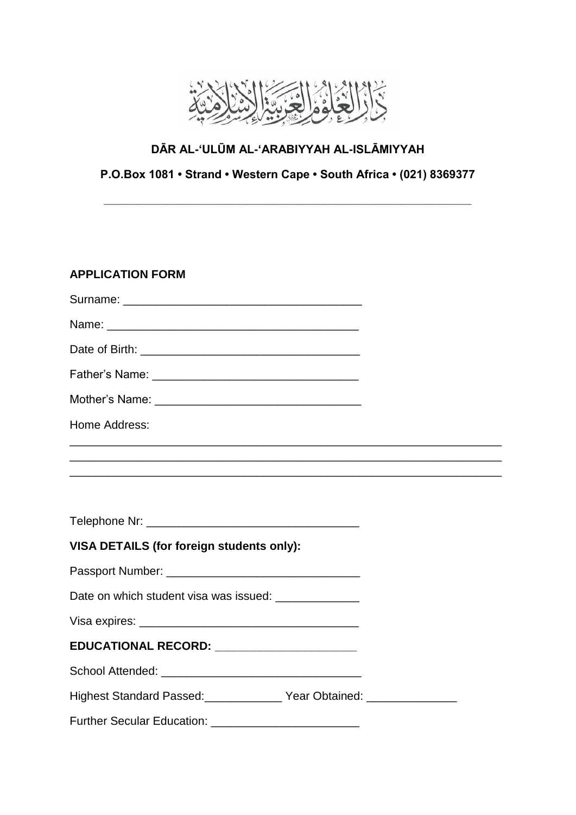

# **DĀR AL-'ULŪM AL-'ARABIYYAH AL-ISLĀMIYYAH**

## **P.O.Box 1081 • Strand • Western Cape • South Africa • (021) 8369377**

**\_\_\_\_\_\_\_\_\_\_\_\_\_\_\_\_\_\_\_\_\_\_\_\_\_\_\_\_\_\_\_\_\_\_\_\_\_\_\_\_\_\_\_\_\_\_\_\_\_\_\_\_\_\_\_\_\_**

#### **APPLICATION FORM**

| Home Address:                                                              |  |
|----------------------------------------------------------------------------|--|
|                                                                            |  |
|                                                                            |  |
| VISA DETAILS (for foreign students only):                                  |  |
|                                                                            |  |
| Date on which student visa was issued: ______________                      |  |
|                                                                            |  |
| EDUCATIONAL RECORD: _______________________                                |  |
|                                                                            |  |
| Highest Standard Passed: Vear Obtained: 1986 Nighest Standard Passed: 1988 |  |
|                                                                            |  |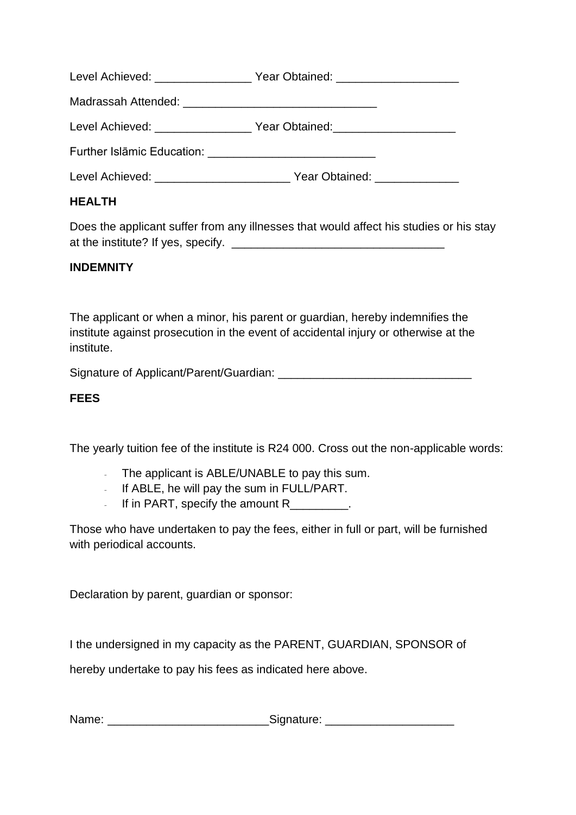Level Achieved: \_\_\_\_\_\_\_\_\_\_\_\_\_\_\_\_\_\_ Year Obtained: \_\_\_\_\_\_\_\_\_\_\_\_\_\_\_\_\_\_\_\_\_\_\_\_\_\_\_\_\_\_ Madrassah Attended: **Warehouse** and the manufacture of the manufacture of the manufacture of the manufacture of the manufacture of the manufacture of the manufacture of the manufacture of the manufacture of the manufacture Level Achieved: example of Year Obtained: Further Islāmic Education: \_\_\_\_\_\_\_\_\_\_\_\_\_\_\_\_\_\_\_\_\_\_\_\_\_\_

Level Achieved: \_\_\_\_\_\_\_\_\_\_\_\_\_\_\_\_\_\_\_\_\_\_\_\_\_\_\_ Year Obtained: \_\_\_\_\_\_\_\_\_\_\_

## **HEALTH**

Does the applicant suffer from any illnesses that would affect his studies or his stay at the institute? If yes, specify. \_\_\_\_\_\_\_\_\_\_\_\_\_\_\_\_\_\_\_\_\_\_\_\_\_\_\_\_\_\_\_\_\_

#### **INDEMNITY**

The applicant or when a minor, his parent or guardian, hereby indemnifies the institute against prosecution in the event of accidental injury or otherwise at the institute.

Signature of Applicant/Parent/Guardian:

#### **FEES**

The yearly tuition fee of the institute is R24 000. Cross out the non-applicable words:

- The applicant is ABLE/UNABLE to pay this sum.
- If ABLE, he will pay the sum in FULL/PART.
- If in PART, specify the amount R

Those who have undertaken to pay the fees, either in full or part, will be furnished with periodical accounts.

Declaration by parent, guardian or sponsor:

I the undersigned in my capacity as the PARENT, GUARDIAN, SPONSOR of

hereby undertake to pay his fees as indicated here above.

Name: \_\_\_\_\_\_\_\_\_\_\_\_\_\_\_\_\_\_\_\_\_\_\_\_\_\_\_\_\_\_\_\_\_\_\_Signature: \_\_\_\_\_\_\_\_\_\_\_\_\_\_\_\_\_\_\_\_\_\_\_\_\_\_\_\_